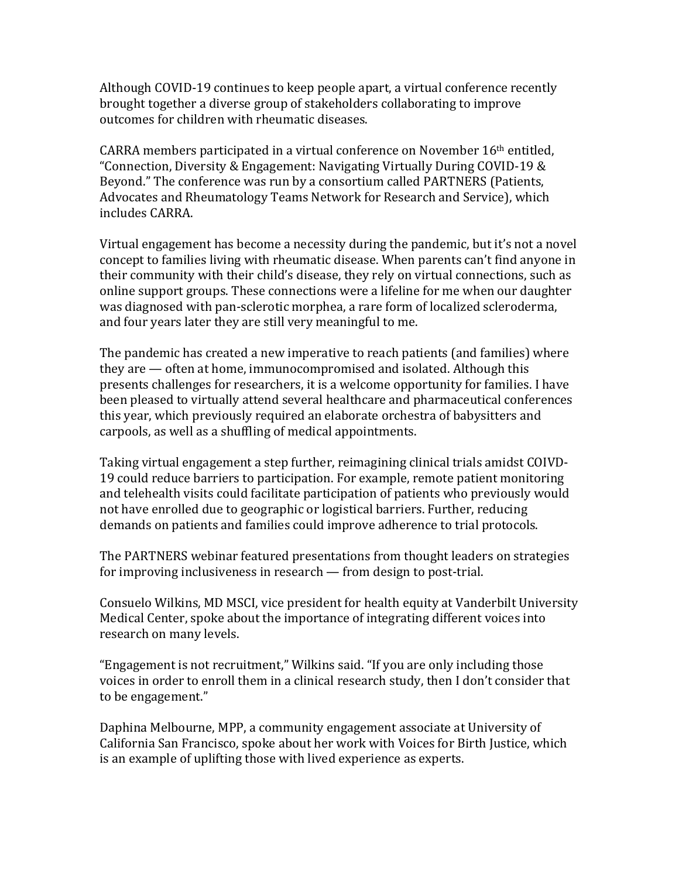Although COVID-19 continues to keep people apart, a virtual conference recently brought together a diverse group of stakeholders collaborating to improve outcomes for children with rheumatic diseases.

CARRA members participated in a virtual conference on November 16th entitled, "Connection, Diversity & Engagement: Navigating Virtually During COVID-19 & Beyond." The conference was run by a consortium called PARTNERS (Patients, Advocates and Rheumatology Teams Network for Research and Service), which includes CARRA.

Virtual engagement has become a necessity during the pandemic, but it's not a novel concept to families living with rheumatic disease. When parents can't find anyone in their community with their child's disease, they rely on virtual connections, such as online support groups. These connections were a lifeline for me when our daughter was diagnosed with pan-sclerotic morphea, a rare form of localized scleroderma, and four years later they are still very meaningful to me.

The pandemic has created a new imperative to reach patients (and families) where they are — often at home, immunocompromised and isolated. Although this presents challenges for researchers, it is a welcome opportunity for families. I have been pleased to virtually attend several healthcare and pharmaceutical conferences this year, which previously required an elaborate orchestra of babysitters and carpools, as well as a shuffling of medical appointments.

Taking virtual engagement a step further, reimagining clinical trials amidst COIVD-19 could reduce barriers to participation. For example, remote patient monitoring and telehealth visits could facilitate participation of patients who previously would not have enrolled due to geographic or logistical barriers. Further, reducing demands on patients and families could improve adherence to trial protocols.

The PARTNERS webinar featured presentations from thought leaders on strategies for improving inclusiveness in research — from design to post-trial.

Consuelo Wilkins, MD MSCI, vice president for health equity at Vanderbilt University Medical Center, spoke about the importance of integrating different voices into research on many levels.

"Engagement is not recruitment," Wilkins said. "If you are only including those voices in order to enroll them in a clinical research study, then I don't consider that to be engagement."

Daphina Melbourne, MPP, a community engagement associate at University of California San Francisco, spoke about her work with Voices for Birth Justice, which is an example of uplifting those with lived experience as experts.